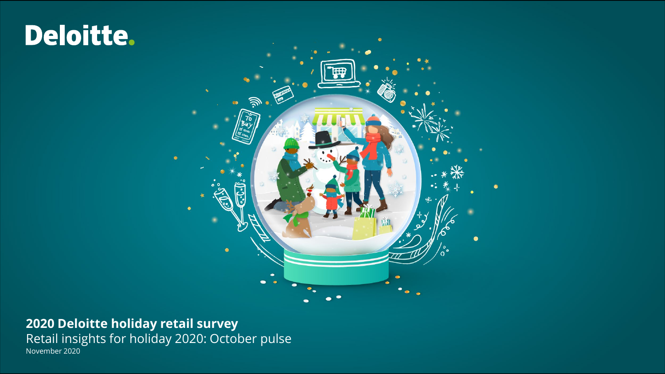# Deloitte.



**2020 Deloitte holiday retail survey** Retail insights for holiday 2020: October pulse November 2020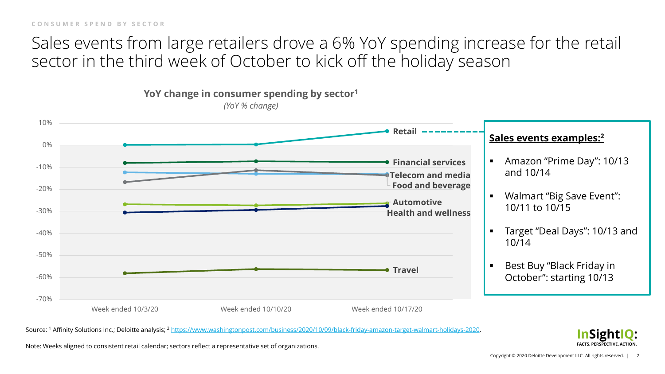**CONSUMER SPEND BY SECTOR**

## Sales events from large retailers drove a 6% YoY spending increase for the retail sector in the third week of October to kick off the holiday season



Source: <sup>1</sup> Affinity Solutions Inc.; Deloitte analysis; <sup>2</sup> <https://www.washingtonpost.com/business/2020/10/09/black-friday-amazon-target-walmart-holidays-2020>.

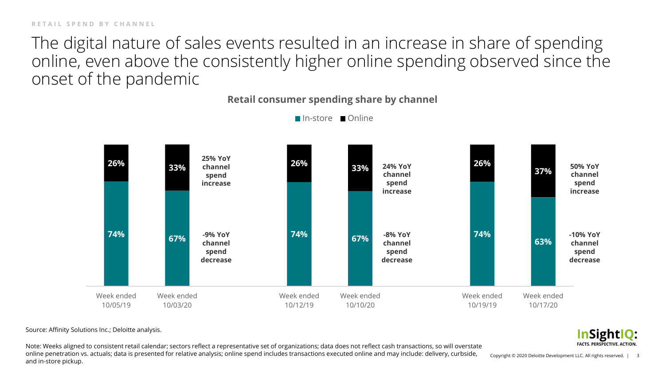The digital nature of sales events resulted in an increase in share of spending online, even above the consistently higher online spending observed since the onset of the pandemic

**Retail consumer spending share by channel**



■In-store ■Online

Source: Affinity Solutions Inc.; Deloitte analysis.

Note: Weeks aligned to consistent retail calendar; sectors reflect a representative set of organizations; data does not reflect cash transactions, so will overstate online penetration vs. actuals; data is presented for relative analysis; online spend includes transactions executed online and may include: delivery, curbside, and in-store pickup.

**InSightIQ: FACTS. PERSPECTIVE. ACTION**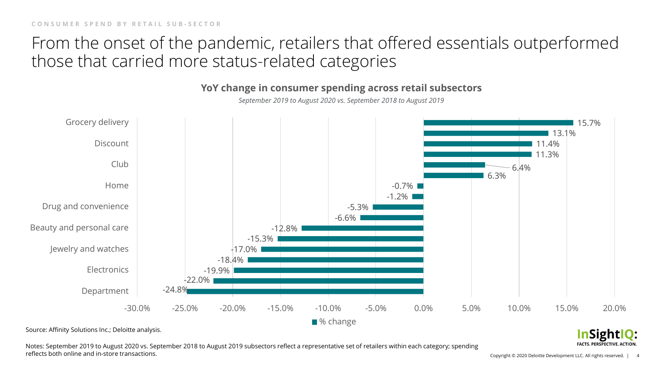## From the onset of the pandemic, retailers that offered essentials outperformed those that carried more status-related categories



**YoY change in consumer spending across retail subsectors**

Source: Affinity Solutions Inc.; Deloitte analysis.

Notes: September 2019 to August 2020 vs. September 2018 to August 2019 subsectors reflect a representative set of retailers within each category; spending reflects both online and in-store transactions.

Copyright © 2020 Deloitte Development LLC. All rights reserved. | 4

**InSightIQ: FACTS. PERSPECTIVE. ACTION**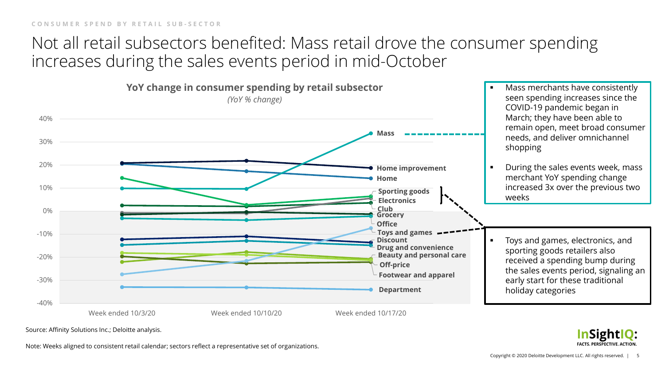## Not all retail subsectors benefited: Mass retail drove the consumer spending increases during the sales events period in mid-October



Source: Affinity Solutions Inc.; Deloitte analysis.

Note: Weeks aligned to consistent retail calendar; sectors reflect a representative set of organizations.

**InSightIQ: FACTS. PERSPECTIVE. ACTION**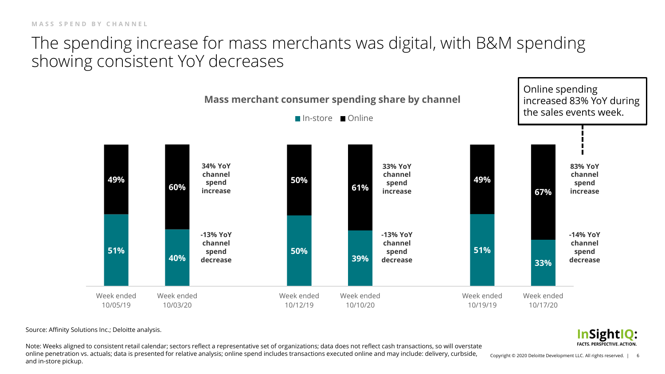## The spending increase for mass merchants was digital, with B&M spending showing consistent YoY decreases



Source: Affinity Solutions Inc.; Deloitte analysis.

Note: Weeks aligned to consistent retail calendar; sectors reflect a representative set of organizations; data does not reflect cash transactions, so will overstate online penetration vs. actuals; data is presented for relative analysis; online spend includes transactions executed online and may include: delivery, curbside, and in-store pickup.

Copyright © 2020 Deloitte Development LLC. All rights reserved. | 6

**InSightIQ: FACTS, PERSPECTIVE, ACTION.**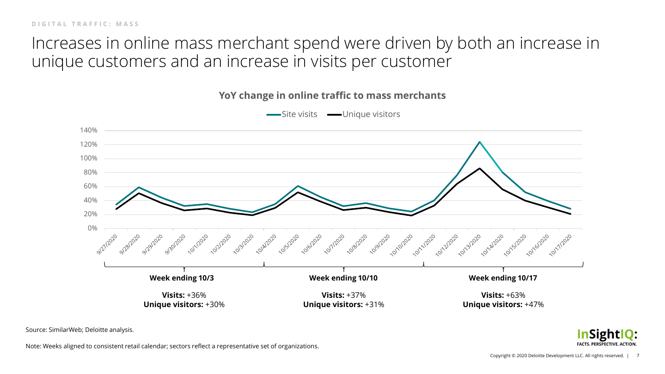## Increases in online mass merchant spend were driven by both an increase in unique customers and an increase in visits per customer



**YoY change in online traffic to mass merchants**

Source: SimilarWeb; Deloitte analysis.

**InSightIQ: FACTS. PERSPECTIVE. ACTION** 

Note: Weeks aligned to consistent retail calendar; sectors reflect a representative set of organizations.